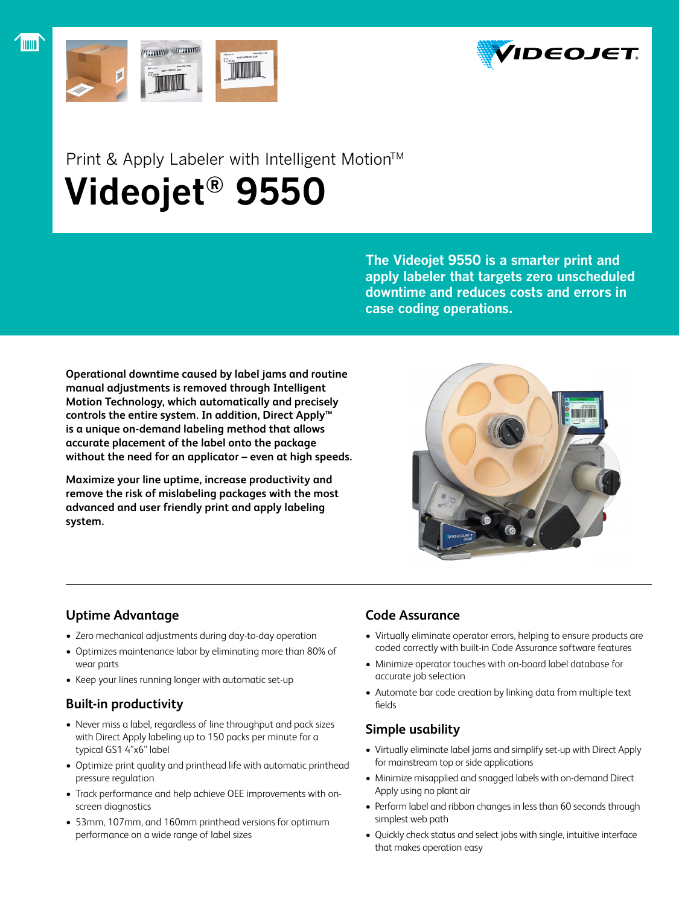



## Print & Apply Labeler with Intelligent Motion™  **Videojet® 9550**

**The Videojet 9550 is a smarter print and apply labeler that targets zero unscheduled downtime and reduces costs and errors in case coding operations.**

**Operational downtime caused by label jams and routine manual adjustments is removed through Intelligent Motion Technology, which automatically and precisely controls the entire system. In addition, Direct Apply™ is a unique on-demand labeling method that allows accurate placement of the label onto the package without the need for an applicator – even at high speeds.**

**Maximize your line uptime, increase productivity and remove the risk of mislabeling packages with the most advanced and user friendly print and apply labeling system.**



## **Uptime Advantage**

- Zero mechanical adjustments during day-to-day operation
- Optimizes maintenance labor by eliminating more than 80% of wear parts
- Keep your lines running longer with automatic set-up

## **Built-in productivity**

- Never miss a label, regardless of line throughput and pack sizes with Direct Apply labeling up to 150 packs per minute for a typical GS1 4"x6" label
- Optimize print quality and printhead life with automatic printhead pressure regulation
- Track performance and help achieve OEE improvements with onscreen diagnostics
- 53mm, 107mm, and 160mm printhead versions for optimum performance on a wide range of label sizes

## **Code Assurance**

- Virtually eliminate operator errors, helping to ensure products are coded correctly with built-in Code Assurance software features
- Minimize operator touches with on-board label database for accurate job selection
- Automate bar code creation by linking data from multiple text fields

## **Simple usability**

- Virtually eliminate label jams and simplify set-up with Direct Apply for mainstream top or side applications
- Minimize misapplied and snagged labels with on-demand Direct Apply using no plant air
- Perform label and ribbon changes in less than 60 seconds through simplest web path
- Quickly check status and select jobs with single, intuitive interface that makes operation easy